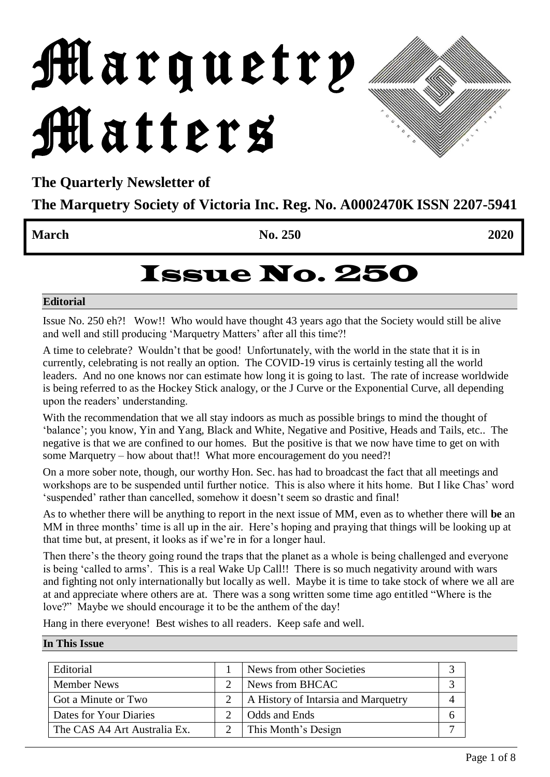# Marquetry Matters

**The Quarterly Newsletter of** 

**The Marquetry Society of Victoria Inc. Reg. No. A0002470K ISSN 2207-5941**

**March 2020** 2020

# Issue No. 250

#### **Editorial**

Issue No. 250 eh?! Wow!! Who would have thought 43 years ago that the Society would still be alive and well and still producing 'Marquetry Matters' after all this time?!

A time to celebrate? Wouldn't that be good! Unfortunately, with the world in the state that it is in currently, celebrating is not really an option. The COVID-19 virus is certainly testing all the world leaders. And no one knows nor can estimate how long it is going to last. The rate of increase worldwide is being referred to as the Hockey Stick analogy, or the J Curve or the Exponential Curve, all depending upon the readers' understanding.

With the recommendation that we all stay indoors as much as possible brings to mind the thought of 'balance'; you know, Yin and Yang, Black and White, Negative and Positive, Heads and Tails, etc.. The negative is that we are confined to our homes. But the positive is that we now have time to get on with some Marquetry – how about that!! What more encouragement do you need?!

On a more sober note, though, our worthy Hon. Sec. has had to broadcast the fact that all meetings and workshops are to be suspended until further notice. This is also where it hits home. But I like Chas' word 'suspended' rather than cancelled, somehow it doesn't seem so drastic and final!

As to whether there will be anything to report in the next issue of MM, even as to whether there will **be** an MM in three months' time is all up in the air. Here's hoping and praying that things will be looking up at that time but, at present, it looks as if we're in for a longer haul.

Then there's the theory going round the traps that the planet as a whole is being challenged and everyone is being 'called to arms'. This is a real Wake Up Call!! There is so much negativity around with wars and fighting not only internationally but locally as well. Maybe it is time to take stock of where we all are at and appreciate where others are at. There was a song written some time ago entitled "Where is the love?" Maybe we should encourage it to be the anthem of the day!

Hang in there everyone! Best wishes to all readers. Keep safe and well.

#### **In This Issue**

| Editorial                    | News from other Societies           |  |
|------------------------------|-------------------------------------|--|
| <b>Member News</b>           | News from BHCAC                     |  |
| Got a Minute or Two          | A History of Intarsia and Marquetry |  |
| Dates for Your Diaries       | Odds and Ends                       |  |
| The CAS A4 Art Australia Ex. | This Month's Design                 |  |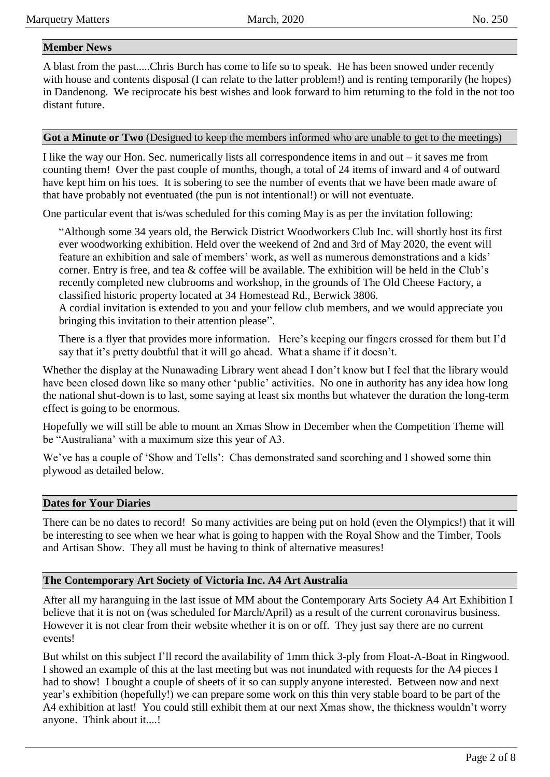#### **Member News**

A blast from the past.....Chris Burch has come to life so to speak. He has been snowed under recently with house and contents disposal (I can relate to the latter problem!) and is renting temporarily (he hopes) in Dandenong. We reciprocate his best wishes and look forward to him returning to the fold in the not too distant future.

#### **Got a Minute or Two** (Designed to keep the members informed who are unable to get to the meetings)

I like the way our Hon. Sec. numerically lists all correspondence items in and out – it saves me from counting them! Over the past couple of months, though, a total of 24 items of inward and 4 of outward have kept him on his toes. It is sobering to see the number of events that we have been made aware of that have probably not eventuated (the pun is not intentional!) or will not eventuate.

One particular event that is/was scheduled for this coming May is as per the invitation following:

"Although some 34 years old, the Berwick District Woodworkers Club Inc. will shortly host its first ever woodworking exhibition. Held over the weekend of 2nd and 3rd of May 2020, the event will feature an exhibition and sale of members' work, as well as numerous demonstrations and a kids' corner. Entry is free, and tea & coffee will be available. The exhibition will be held in the Club's recently completed new clubrooms and workshop, in the grounds of The Old Cheese Factory, a classified historic property located at 34 Homestead Rd., Berwick 3806.

A cordial invitation is extended to you and your fellow club members, and we would appreciate you bringing this invitation to their attention please".

There is a flyer that provides more information. Here's keeping our fingers crossed for them but I'd say that it's pretty doubtful that it will go ahead. What a shame if it doesn't.

Whether the display at the Nunawading Library went ahead I don't know but I feel that the library would have been closed down like so many other 'public' activities. No one in authority has any idea how long the national shut-down is to last, some saying at least six months but whatever the duration the long-term effect is going to be enormous.

Hopefully we will still be able to mount an Xmas Show in December when the Competition Theme will be "Australiana' with a maximum size this year of A3.

We've has a couple of 'Show and Tells': Chas demonstrated sand scorching and I showed some thin plywood as detailed below.

#### **Dates for Your Diaries**

There can be no dates to record! So many activities are being put on hold (even the Olympics!) that it will be interesting to see when we hear what is going to happen with the Royal Show and the Timber, Tools and Artisan Show. They all must be having to think of alternative measures!

#### **The Contemporary Art Society of Victoria Inc. A4 Art Australia**

After all my haranguing in the last issue of MM about the Contemporary Arts Society A4 Art Exhibition I believe that it is not on (was scheduled for March/April) as a result of the current coronavirus business. However it is not clear from their website whether it is on or off. They just say there are no current events!

But whilst on this subject I'll record the availability of 1mm thick 3-ply from Float-A-Boat in Ringwood. I showed an example of this at the last meeting but was not inundated with requests for the A4 pieces I had to show! I bought a couple of sheets of it so can supply anyone interested. Between now and next year's exhibition (hopefully!) we can prepare some work on this thin very stable board to be part of the A4 exhibition at last! You could still exhibit them at our next Xmas show, the thickness wouldn't worry anyone. Think about it....!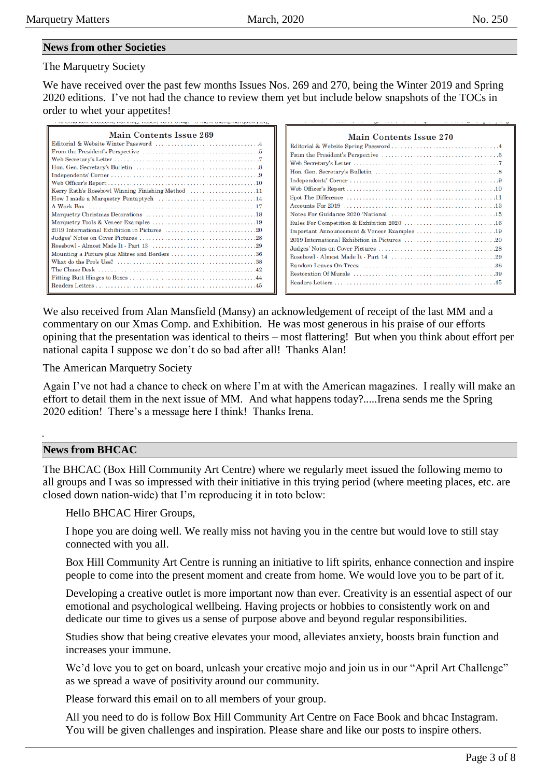#### **News from other Societies**

#### The Marquetry Society

We have received over the past few months Issues Nos. 269 and 270, being the Winter 2019 and Spring 2020 editions. I've not had the chance to review them yet but include below snapshots of the TOCs in order to whet your appetites!

| Main Contents Issue 269                                                                                |
|--------------------------------------------------------------------------------------------------------|
|                                                                                                        |
|                                                                                                        |
|                                                                                                        |
|                                                                                                        |
|                                                                                                        |
|                                                                                                        |
| Kerry Rath's Rosebowl Winning Finishing Method 11                                                      |
|                                                                                                        |
|                                                                                                        |
|                                                                                                        |
|                                                                                                        |
|                                                                                                        |
|                                                                                                        |
|                                                                                                        |
|                                                                                                        |
| What do the Pro's Use? $\dots\dots\dots\dots\dots\dots\dots\dots\dots\dots\dots\dots\dots\dots\dots38$ |
|                                                                                                        |
|                                                                                                        |
|                                                                                                        |
|                                                                                                        |

| Main Contents Issue 270                     |
|---------------------------------------------|
|                                             |
|                                             |
|                                             |
|                                             |
|                                             |
|                                             |
|                                             |
|                                             |
|                                             |
|                                             |
| Important Announcement & Veneer Examples 19 |
|                                             |
|                                             |
|                                             |
|                                             |
|                                             |
|                                             |
|                                             |

We also received from Alan Mansfield (Mansy) an acknowledgement of receipt of the last MM and a commentary on our Xmas Comp. and Exhibition. He was most generous in his praise of our efforts opining that the presentation was identical to theirs – most flattering! But when you think about effort per national capita I suppose we don't do so bad after all! Thanks Alan!

#### The American Marquetry Society

Again I've not had a chance to check on where I'm at with the American magazines. I really will make an effort to detail them in the next issue of MM. And what happens today?.....Irena sends me the Spring 2020 edition! There's a message here I think! Thanks Irena.

#### **News from BHCAC**

The BHCAC (Box Hill Community Art Centre) where we regularly meet issued the following memo to all groups and I was so impressed with their initiative in this trying period (where meeting places, etc. are closed down nation-wide) that I'm reproducing it in toto below:

#### Hello BHCAC Hirer Groups,

I hope you are doing well. We really miss not having you in the centre but would love to still stay connected with you all.

Box Hill Community Art Centre is running an initiative to lift spirits, enhance connection and inspire people to come into the present moment and create from home. We would love you to be part of it.

Developing a creative outlet is more important now than ever. Creativity is an essential aspect of our emotional and psychological wellbeing. Having projects or hobbies to consistently work on and dedicate our time to gives us a sense of purpose above and beyond regular responsibilities.

Studies show that being creative elevates your mood, alleviates anxiety, boosts brain function and increases your immune.

We'd love you to get on board, unleash your creative mojo and join us in our "April Art Challenge" as we spread a wave of positivity around our community.

Please forward this email on to all members of your group.

All you need to do is follow Box Hill Community Art Centre on Face Book and bhcac Instagram. You will be given challenges and inspiration. Please share and like our posts to inspire others.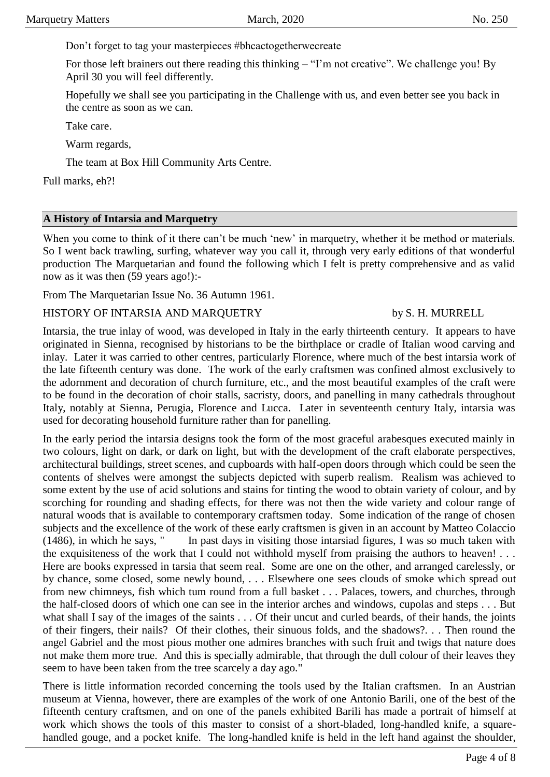Don't forget to tag your masterpieces #bhcactogetherwecreate

For those left brainers out there reading this thinking – "I'm not creative". We challenge you! By April 30 you will feel differently.

Hopefully we shall see you participating in the Challenge with us, and even better see you back in the centre as soon as we can.

Take care.

Warm regards,

The team at Box Hill Community Arts Centre.

Full marks, eh?!

#### **A History of Intarsia and Marquetry**

When you come to think of it there can't be much 'new' in marquetry, whether it be method or materials. So I went back trawling, surfing, whatever way you call it, through very early editions of that wonderful production The Marquetarian and found the following which I felt is pretty comprehensive and as valid now as it was then  $(59 \text{ years ago!})$ :-

From The Marquetarian Issue No. 36 Autumn 1961.

#### HISTORY OF INTARSIA AND MARQUETRY by S. H. MURRELL

Intarsia, the true inlay of wood, was developed in Italy in the early thirteenth century. It appears to have originated in Sienna, recognised by historians to be the birthplace or cradle of Italian wood carving and inlay. Later it was carried to other centres, particularly Florence, where much of the best intarsia work of the late fifteenth century was done. The work of the early craftsmen was confined almost exclusively to the adornment and decoration of church furniture, etc., and the most beautiful examples of the craft were to be found in the decoration of choir stalls, sacristy, doors, and panelling in many cathedrals throughout Italy, notably at Sienna, Perugia, Florence and Lucca. Later in seventeenth century Italy, intarsia was used for decorating household furniture rather than for panelling.

In the early period the intarsia designs took the form of the most graceful arabesques executed mainly in two colours, light on dark, or dark on light, but with the development of the craft elaborate perspectives, architectural buildings, street scenes, and cupboards with half-open doors through which could be seen the contents of shelves were amongst the subjects depicted with superb realism. Realism was achieved to some extent by the use of acid solutions and stains for tinting the wood to obtain variety of colour, and by scorching for rounding and shading effects, for there was not then the wide variety and colour range of natural woods that is available to contemporary craftsmen today. Some indication of the range of chosen subjects and the excellence of the work of these early craftsmen is given in an account by Matteo Colaccio (1486), in which he says, " In past days in visiting those intarsiad figures, I was so much taken with the exquisiteness of the work that I could not withhold myself from praising the authors to heaven! . . . Here are books expressed in tarsia that seem real. Some are one on the other, and arranged carelessly, or by chance, some closed, some newly bound, . . . Elsewhere one sees clouds of smoke which spread out from new chimneys, fish which tum round from a full basket . . . Palaces, towers, and churches, through the half-closed doors of which one can see in the interior arches and windows, cupolas and steps . . . But what shall I say of the images of the saints . . . Of their uncut and curled beards, of their hands, the joints of their fingers, their nails? Of their clothes, their sinuous folds, and the shadows?. . . Then round the angel Gabriel and the most pious mother one admires branches with such fruit and twigs that nature does not make them more true. And this is specially admirable, that through the dull colour of their leaves they seem to have been taken from the tree scarcely a day ago."

There is little information recorded concerning the tools used by the Italian craftsmen. In an Austrian museum at Vienna, however, there are examples of the work of one Antonio Barili, one of the best of the fifteenth century craftsmen, and on one of the panels exhibited Barili has made a portrait of himself at work which shows the tools of this master to consist of a short-bladed, long-handled knife, a squarehandled gouge, and a pocket knife. The long-handled knife is held in the left hand against the shoulder,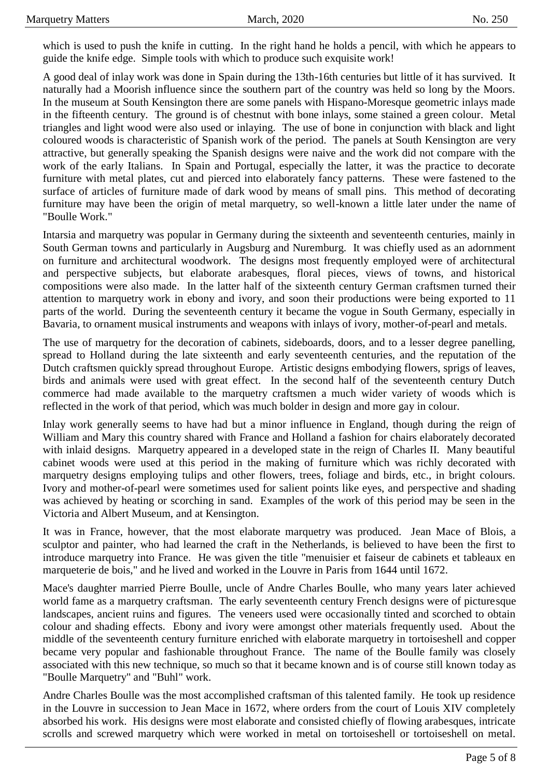which is used to push the knife in cutting. In the right hand he holds a pencil, with which he appears to guide the knife edge. Simple tools with which to produce such exquisite work!

A good deal of inlay work was done in Spain during the 13th-16th centuries but little of it has survived. It naturally had a Moorish influence since the southern part of the country was held so long by the Moors. In the museum at South Kensington there are some panels with Hispano-Moresque geometric inlays made in the fifteenth century. The ground is of chestnut with bone inlays, some stained a green colour. Metal triangles and light wood were also used or inlaying. The use of bone in conjunction with black and light coloured woods is characteristic of Spanish work of the period. The panels at South Kensington are very attractive, but generally speaking the Spanish designs were naive and the work did not compare with the work of the early Italians. In Spain and Portugal, especially the latter, it was the practice to decorate furniture with metal plates, cut and pierced into elaborately fancy patterns. These were fastened to the surface of articles of furniture made of dark wood by means of small pins. This method of decorating furniture may have been the origin of metal marquetry, so well-known a little later under the name of "Boulle Work."

Intarsia and marquetry was popular in Germany during the sixteenth and seventeenth centuries, mainly in South German towns and particularly in Augsburg and Nuremburg. It was chiefly used as an adornment on furniture and architectural woodwork. The designs most frequently employed were of architectural and perspective subjects, but elaborate arabesques, floral pieces, views of towns, and historical compositions were also made. In the latter half of the sixteenth century German craftsmen turned their attention to marquetry work in ebony and ivory, and soon their productions were being exported to 11 parts of the world. During the seventeenth century it became the vogue in South Germany, especially in Bavaria, to ornament musical instruments and weapons with inlays of ivory, mother-of-pearl and metals.

The use of marquetry for the decoration of cabinets, sideboards, doors, and to a lesser degree panelling, spread to Holland during the late sixteenth and early seventeenth centuries, and the reputation of the Dutch craftsmen quickly spread throughout Europe. Artistic designs embodying flowers, sprigs of leaves, birds and animals were used with great effect. In the second half of the seventeenth century Dutch commerce had made available to the marquetry craftsmen a much wider variety of woods which is reflected in the work of that period, which was much bolder in design and more gay in colour.

Inlay work generally seems to have had but a minor influence in England, though during the reign of William and Mary this country shared with France and Holland a fashion for chairs elaborately decorated with inlaid designs. Marquetry appeared in a developed state in the reign of Charles II. Many beautiful cabinet woods were used at this period in the making of furniture which was richly decorated with marquetry designs employing tulips and other flowers, trees, foliage and birds, etc., in bright colours. Ivory and mother-of-pearl were sometimes used for salient points like eyes, and perspective and shading was achieved by heating or scorching in sand. Examples of the work of this period may be seen in the Victoria and Albert Museum, and at Kensington.

It was in France, however, that the most elaborate marquetry was produced. Jean Mace of Blois, a sculptor and painter, who had learned the craft in the Netherlands, is believed to have been the first to introduce marquetry into France. He was given the title "menuisier et faiseur de cabinets et tableaux en marqueterie de bois," and he lived and worked in the Louvre in Paris from 1644 until 1672.

Mace's daughter married Pierre Boulle, uncle of Andre Charles Boulle, who many years later achieved world fame as a marquetry craftsman. The early seventeenth century French designs were of picturesque landscapes, ancient ruins and figures. The veneers used were occasionally tinted and scorched to obtain colour and shading effects. Ebony and ivory were amongst other materials frequently used. About the middle of the seventeenth century furniture enriched with elaborate marquetry in tortoiseshell and copper became very popular and fashionable throughout France. The name of the Boulle family was closely associated with this new technique, so much so that it became known and is of course still known today as "Boulle Marquetry" and "Buhl" work.

Andre Charles Boulle was the most accomplished craftsman of this talented family. He took up residence in the Louvre in succession to Jean Mace in 1672, where orders from the court of Louis XIV completely absorbed his work. His designs were most elaborate and consisted chiefly of flowing arabesques, intricate scrolls and screwed marquetry which were worked in metal on tortoiseshell or tortoiseshell on metal.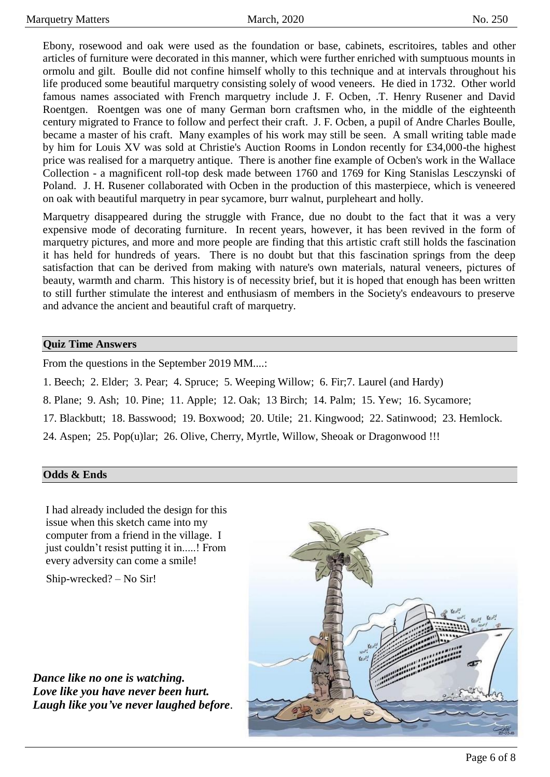Ebony, rosewood and oak were used as the foundation or base, cabinets, escritoires, tables and other articles of furniture were decorated in this manner, which were further enriched with sumptuous mounts in ormolu and gilt. Boulle did not confine himself wholly to this technique and at intervals throughout his life produced some beautiful marquetry consisting solely of wood veneers. He died in 1732. Other world famous names associated with French marquetry include J. F. Ocben, .T. Henry Rusener and David Roentgen. Roentgen was one of many German born craftsmen who, in the middle of the eighteenth century migrated to France to follow and perfect their craft. J. F. Ocben, a pupil of Andre Charles Boulle, became a master of his craft. Many examples of his work may still be seen. A small writing table made by him for Louis XV was sold at Christie's Auction Rooms in London recently for £34,000-the highest price was realised for a marquetry antique. There is another fine example of Ocben's work in the Wallace Collection - a magnificent roll-top desk made between 1760 and 1769 for King Stanislas Lesczynski of Poland. J. H. Rusener collaborated with Ocben in the production of this masterpiece, which is veneered on oak with beautiful marquetry in pear sycamore, burr walnut, purpleheart and holly.

Marquetry disappeared during the struggle with France, due no doubt to the fact that it was a very expensive mode of decorating furniture. In recent years, however, it has been revived in the form of marquetry pictures, and more and more people are finding that this artistic craft still holds the fascination it has held for hundreds of years. There is no doubt but that this fascination springs from the deep satisfaction that can be derived from making with nature's own materials, natural veneers, pictures of beauty, warmth and charm. This history is of necessity brief, but it is hoped that enough has been written to still further stimulate the interest and enthusiasm of members in the Society's endeavours to preserve and advance the ancient and beautiful craft of marquetry.

#### **Quiz Time Answers**

From the questions in the September 2019 MM....:

1. Beech; 2. Elder; 3. Pear; 4. Spruce; 5. Weeping Willow; 6. Fir;7. Laurel (and Hardy)

8. Plane; 9. Ash; 10. Pine; 11. Apple; 12. Oak; 13 Birch; 14. Palm; 15. Yew; 16. Sycamore;

17. Blackbutt; 18. Basswood; 19. Boxwood; 20. Utile; 21. Kingwood; 22. Satinwood; 23. Hemlock.

24. Aspen; 25. Pop(u)lar; 26. Olive, Cherry, Myrtle, Willow, Sheoak or Dragonwood !!!

#### **Odds & Ends**

I had already included the design for this issue when this sketch came into my computer from a friend in the village. I just couldn't resist putting it in.....! From every adversity can come a smile!

Ship-wrecked? – No Sir!

*Dance like no one is watching. Love like you have never been hurt. Laugh like you've never laughed before*.

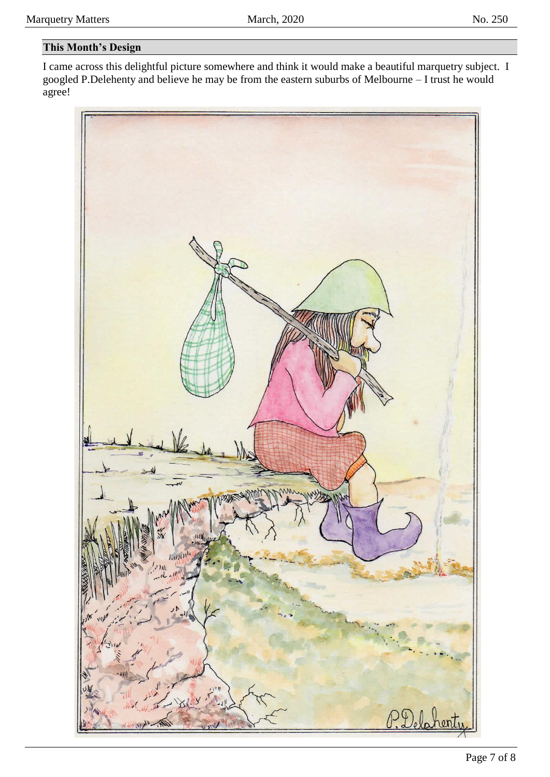### **This Month's Design**

I came across this delightful picture somewhere and think it would make a beautiful marquetry subject. I googled P.Delehenty and believe he may be from the eastern suburbs of Melbourne – I trust he would agree!